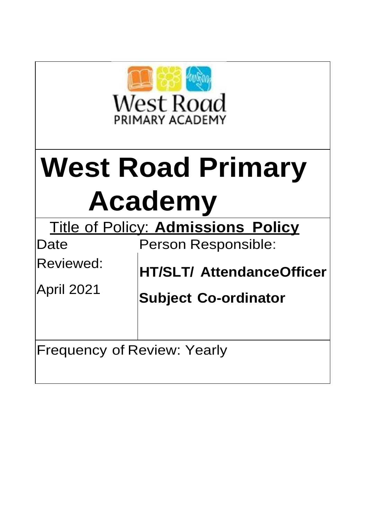

# **West Road Primary Academy**

| <b>Title of Policy: Admissions Policy</b> |                                  |  |
|-------------------------------------------|----------------------------------|--|
| Date                                      | <b>Person Responsible:</b>       |  |
| Reviewed:                                 | <b>HT/SLT/ AttendanceOfficer</b> |  |
| April 2021                                | <b>Subject Co-ordinator</b>      |  |
| <b>Frequency of Review: Yearly</b>        |                                  |  |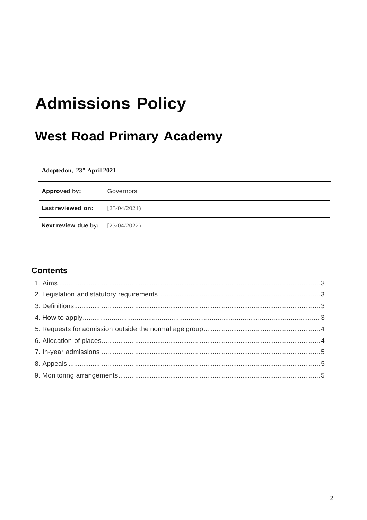# **Admissions Policy**

# **West Road Primary Academy**

Adopted on, 23" April 2021

| Approved by:                              | Governors    |
|-------------------------------------------|--------------|
| Last reviewed on:                         | [23/04/2021] |
| <b>Next review due by:</b> $[23/04/2022]$ |              |

# **Contents**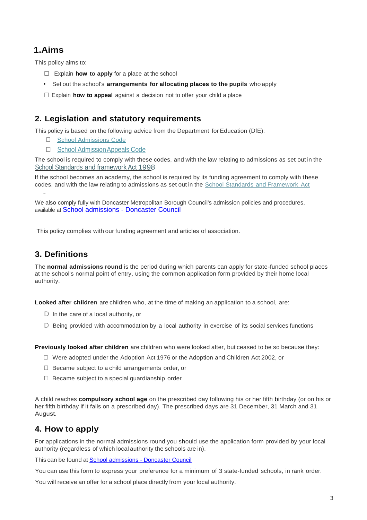# <span id="page-2-0"></span>**1.Aims**

This policy aims to:

- □ Explain **how to apply** for <sup>a</sup> place at the school
- Set out the school's **arrangements for allocating places to the pupils** who apply
- □ Explain **how to appeal** against <sup>a</sup> decision not to offer your child <sup>a</sup> place

# <span id="page-2-1"></span>**2. Legislation and statutory requirements**

This policy is based on the following advice from the Department for Education (DfE):

- □ School Admissions Code
- □ School Admission Appeals Code

The school is required to comply with these codes, and with the law relating to admissions as set out in the School Standards and framework Act 1998.

If the school becomes an academy, the school is required by its funding agreement to comply with these codes, and with the law relating to admissions as set out in the School Standards and Framework Act

We also comply fully with Doncaster Metropolitan Borough Council's admission policies and procedures, available at [School admissions -](https://www.doncaster.gov.uk/services/schools/school-admissions) Doncaster Council

This policy complies with our funding agreement and articles of association.

## <span id="page-2-2"></span>**3. Definitions**

-

The **normal admissions round** is the period during which parents can apply for state-funded school places at the school's normal point of entry, using the common application form provided by their home local authority.

**Looked after children** are children who, at the time of making an application to a school, are:

- D In the care of a local authority, or
- D Being provided with accommodation by a local authority in exercise of its social services functions

**Previously looked after children** are children who were looked after, but ceased to be so because they:

- $\square$  Were adopted under the Adoption Act 1976 or the Adoption and Children Act 2002, or
- □ Became subject to a child arrangements order, or
- $\Box$  Became subject to a special guardianship order

A child reaches **compulsory school age** on the prescribed day following his or her fifth birthday (or on his or her fifth birthday if it falls on a prescribed day). The prescribed days are 31 December, 31 March and 31 August.

## <span id="page-2-3"></span>**4. How to apply**

For applications in the normal admissions round you should use the application form provided by your local authority (regardless of which local authority the schools are in).

This can be found at **[School admissions -](https://www.doncaster.gov.uk/services/schools/school-admissions) Doncaster Council** 

You can use this form to express your preference for a minimum of 3 state-funded schools, in rank order.

You will receive an offer for a school place directly from your local authority.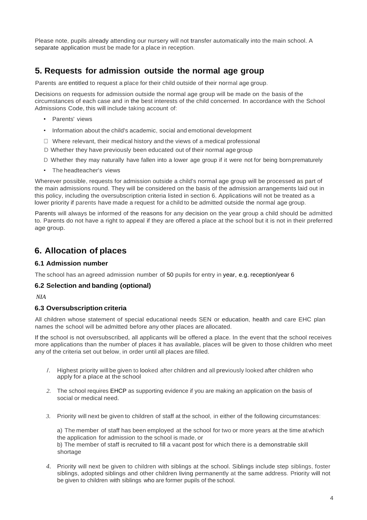Please note, pupils already attending our nursery will not transfer automatically into the main school. A separate application must be made for a place in reception.

# <span id="page-3-0"></span>**5. Requests for admission outside the normal age group**

Parents are entitled to request a place for their child outside of their normal age group.

Decisions on requests for admission outside the normal age group will be made on the basis of the circumstances of each case and in the best interests of the child concerned. In accordance with the School Admissions Code, this will include taking account of:

- Parents' views
- Information about the child's academic, social and emotional development
- $\Box$  Where relevant, their medical history and the views of a medical professional
- D Whether they have previously been educated out of their normal age group
- D Whether they may naturally have fallen into a lower age group if it were not for being bornprematurely
- The headteacher's views

Wherever possible, requests for admission outside a child's normal age group will be processed as part of the main admissions round. They will be considered on the basis of the admission arrangements laid out in this policy, including the oversubscription criteria listed in section 6. Applications will not be treated as a lower priority if parents have made a request for a child to be admitted outside the normal age group.

Parents will always be informed of the reasons for any decision on the year group a child should be admitted to. Parents do not have a right to appeal if they are offered a place at the school but it is not in their preferred age group.

## <span id="page-3-1"></span>**6. Allocation of places**

#### **6.1 Admission number**

The school has an agreed admission number of 50 pupils for entry in year, e.g. reception/year 6

#### **6.2 Selection and banding (optional)**

*NIA*

#### **6.3 Oversubscription criteria**

All children whose statement of special educational needs SEN or education, health and care EHC plan names the school will be admitted before any other places are allocated.

If the school is not oversubscribed, all applicants will be offered a place. In the event that the school receives more applications than the number of places it has available, places will be given to those children who meet any of the criteria set out below, in order until all places are filled.

- /. Highest priority will be given to looked after children and all previously looked after children who apply for a place at the school
- *2.* The school requires EHCP as supporting evidence if you are making an application on the basis of social or medical need.
- *3.* Priority will next be given to children of staff at the school, in either of the following circumstances:

a) The member of staff has been employed at the school for two or more years at the time atwhich the application for admission to the school is made, or b) The member of staff is recruited to fill a vacant post for which there is a demonstrable skill shortage

*4.* Priority will next be given to children with siblings at the school. Siblings include step siblings, foster siblings, adopted siblings and other children living permanently at the same address. Priority will not be given to children with siblings who are former pupils of the school.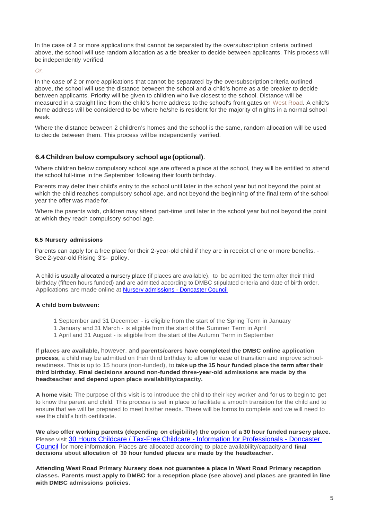In the case of 2 or more applications that cannot be separated by the oversubscription criteria outlined above, the school will use random allocation as a tie breaker to decide between applicants. This process will be independently verified.

*Or,*

In the case of 2 or more applications that cannot be separated by the oversubscription criteria outlined above, the school will use the distance between the school and a child's home as a tie breaker to decide between applicants. Priority will be given to children who live closest to the school. Distance will be measured in a straight line from the child's home address to the school's front gates on West Road. A child's home address will be considered to be where he/she is resident for the majority of nights in a normal school week.

Where the distance between 2 children's homes and the school is the same, random allocation will be used to decide between them. This process will be independently verified.

#### **6.4 Children below compulsory school age (optional).**

Where children below compulsory school age are offered a place at the school, they will be entitled to attend the school full-time in the September following their fourth birthday.

Parents may defer their child's entry to the school until later in the school year but not beyond the point at which the child reaches compulsory school age, and not beyond the beginning of the final term of the school year the offer was made for.

Where the parents wish, children may attend part-time until later in the school year but not beyond the point at which they reach compulsory school age.

#### **6.5 Nursery admissions**

Parents can apply for a free place for their 2-year-old child if they are in receipt of one or more benefits. - See 2-year-old Rising 3's- policy.

A child is usually allocated a nursery place (if places are available), to be admitted the term after their third birthday (fifteen hours funded) and are admitted according to DMBC stipulated criteria and date of birth order. Applications are made online at [Nursery admissions -](https://www.doncaster.gov.uk/services/schools/nursery-admissions) Doncaster Council

#### **A child born between:**

- 1 September and 31 December is eligible from the start of the Spring Term in January
- 1 January and 31 March is eligible from the start of the Summer Term in April
- 1 April and 31 August is eligible from the start of the Autumn Term in September

If **places are available,** however, and **parents/carers have completed the DMBC online application process,** a child may be admitted on their third birthday to allow for ease of transition and improve schoolreadiness. This is up to 15 hours (non-funded), to **take up the 15 hour funded place the term after their third birthday. Final decisions around non-funded three-year-old admissions are made by the headteacher and depend upon place availability/capacity.**

**A home visit:** The purpose of this visit is to introduce the child to their key worker and for us to begin to get to know the parent and child. This process is set in place to facilitate a smooth transition for the child and to ensure that we will be prepared to meet his/her needs. There will be forms to complete and we will need to see the child's birth certificate.

**We also offer working parents (depending on eligibility) the option of a 30 hour funded nursery place.** Please visit [30 Hours Childcare / Tax-Free Childcare -](https://www.doncaster.gov.uk/services/schools/30-hour-free-entitlement-2) Information for Professionals - Doncaster [Council](https://www.doncaster.gov.uk/services/schools/30-hour-free-entitlement-2) for more information. Places are allocated according to place availability/capacity and **final decisions about allocation of 30 hour funded places are made by the headteacher.**

**Attending West Road Primary Nursery does not guarantee a place in West Road Primary reception classes. Parents must apply to DMBC for a reception place (see above) and places are granted in line with DMBC admissions policies.**